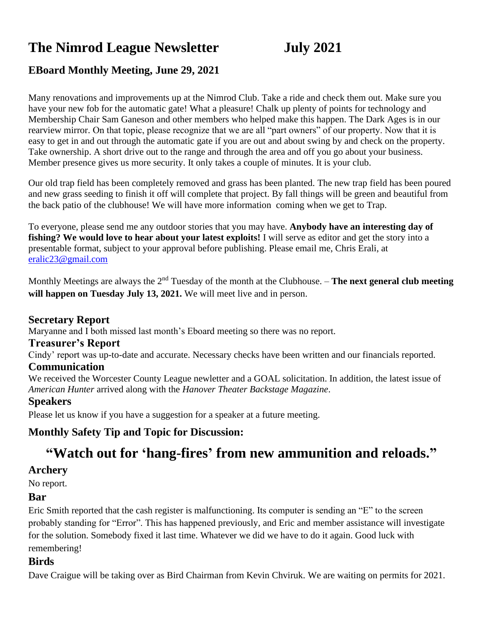# **The Nimrod League Newsletter July 2021**

# **EBoard Monthly Meeting, June 29, 2021**

Many renovations and improvements up at the Nimrod Club. Take a ride and check them out. Make sure you have your new fob for the automatic gate! What a pleasure! Chalk up plenty of points for technology and Membership Chair Sam Ganeson and other members who helped make this happen. The Dark Ages is in our rearview mirror. On that topic, please recognize that we are all "part owners" of our property. Now that it is easy to get in and out through the automatic gate if you are out and about swing by and check on the property. Take ownership. A short drive out to the range and through the area and off you go about your business. Member presence gives us more security. It only takes a couple of minutes. It is your club.

Our old trap field has been completely removed and grass has been planted. The new trap field has been poured and new grass seeding to finish it off will complete that project. By fall things will be green and beautiful from the back patio of the clubhouse! We will have more information coming when we get to Trap.

To everyone, please send me any outdoor stories that you may have. **Anybody have an interesting day of fishing? We would love to hear about your latest exploits!** I will serve as editor and get the story into a presentable format, subject to your approval before publishing. Please email me, Chris Erali, at [eralic23@gmail.com](mailto:eralic23@gmail.com)

Monthly Meetings are always the 2<sup>nd</sup> Tuesday of the month at the Clubhouse. – **The next general club meeting will happen on Tuesday July 13, 2021.** We will meet live and in person.

#### **Secretary Report**

Maryanne and I both missed last month's Eboard meeting so there was no report.

#### **Treasurer's Report**

Cindy' report was up-to-date and accurate. Necessary checks have been written and our financials reported.

#### **Communication**

We received the Worcester County League newletter and a GOAL solicitation. In addition, the latest issue of *American Hunter* arrived along with the *Hanover Theater Backstage Magazine*.

#### **Speakers**

Please let us know if you have a suggestion for a speaker at a future meeting.

# **Monthly Safety Tip and Topic for Discussion:**

# **"Watch out for 'hang-fires' from new ammunition and reloads."**

#### **Archery**

No report.

#### **Bar**

Eric Smith reported that the cash register is malfunctioning. Its computer is sending an "E" to the screen probably standing for "Error". This has happened previously, and Eric and member assistance will investigate for the solution. Somebody fixed it last time. Whatever we did we have to do it again. Good luck with remembering!

#### **Birds**

Dave Craigue will be taking over as Bird Chairman from Kevin Chviruk. We are waiting on permits for 2021.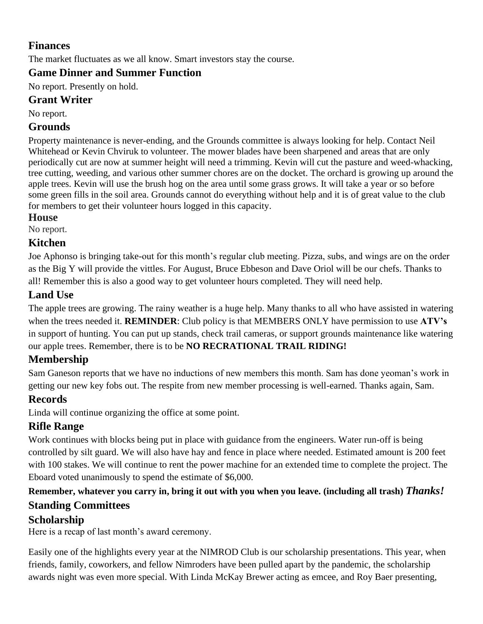# **Finances**

The market fluctuates as we all know. Smart investors stay the course.

# **Game Dinner and Summer Function**

No report. Presently on hold.

#### **Grant Writer**

No report.

#### **Grounds**

Property maintenance is never-ending, and the Grounds committee is always looking for help. Contact Neil Whitehead or Kevin Chviruk to volunteer. The mower blades have been sharpened and areas that are only periodically cut are now at summer height will need a trimming. Kevin will cut the pasture and weed-whacking, tree cutting, weeding, and various other summer chores are on the docket. The orchard is growing up around the apple trees. Kevin will use the brush hog on the area until some grass grows. It will take a year or so before some green fills in the soil area. Grounds cannot do everything without help and it is of great value to the club for members to get their volunteer hours logged in this capacity.

#### **House**

No report.

#### **Kitchen**

Joe Aphonso is bringing take-out for this month's regular club meeting. Pizza, subs, and wings are on the order as the Big Y will provide the vittles. For August, Bruce Ebbeson and Dave Oriol will be our chefs. Thanks to all! Remember this is also a good way to get volunteer hours completed. They will need help.

## **Land Use**

The apple trees are growing. The rainy weather is a huge help. Many thanks to all who have assisted in watering when the trees needed it. **REMINDER**: Club policy is that MEMBERS ONLY have permission to use **ATV's** in support of hunting. You can put up stands, check trail cameras, or support grounds maintenance like watering our apple trees. Remember, there is to be **NO RECRATIONAL TRAIL RIDING!**

# **Membership**

Sam Ganeson reports that we have no inductions of new members this month. Sam has done yeoman's work in getting our new key fobs out. The respite from new member processing is well-earned. Thanks again, Sam.

# **Records**

Linda will continue organizing the office at some point.

# **Rifle Range**

Work continues with blocks being put in place with guidance from the engineers. Water run-off is being controlled by silt guard. We will also have hay and fence in place where needed. Estimated amount is 200 feet with 100 stakes. We will continue to rent the power machine for an extended time to complete the project. The Eboard voted unanimously to spend the estimate of \$6,000.

# **Remember, whatever you carry in, bring it out with you when you leave. (including all trash)** *Thanks!* **Standing Committees**

#### **Scholarship**

Here is a recap of last month's award ceremony.

Easily one of the highlights every year at the NIMROD Club is our scholarship presentations. This year, when friends, family, coworkers, and fellow Nimroders have been pulled apart by the pandemic, the scholarship awards night was even more special. With Linda McKay Brewer acting as emcee, and Roy Baer presenting,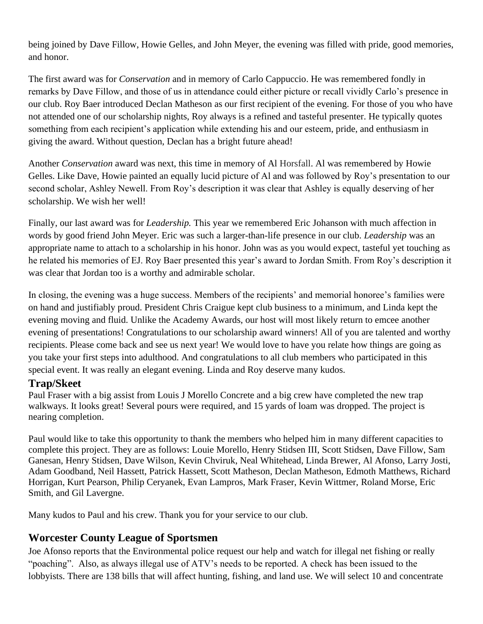being joined by Dave Fillow, Howie Gelles, and John Meyer, the evening was filled with pride, good memories, and honor.

The first award was for *Conservation* and in memory of Carlo Cappuccio. He was remembered fondly in remarks by Dave Fillow, and those of us in attendance could either picture or recall vividly Carlo's presence in our club. Roy Baer introduced Declan Matheson as our first recipient of the evening. For those of you who have not attended one of our scholarship nights, Roy always is a refined and tasteful presenter. He typically quotes something from each recipient's application while extending his and our esteem, pride, and enthusiasm in giving the award. Without question, Declan has a bright future ahead!

Another *Conservation* award was next, this time in memory of Al Horsfall. Al was remembered by Howie Gelles. Like Dave, Howie painted an equally lucid picture of Al and was followed by Roy's presentation to our second scholar, Ashley Newell. From Roy's description it was clear that Ashley is equally deserving of her scholarship. We wish her well!

Finally, our last award was for *Leadership.* This year we remembered Eric Johanson with much affection in words by good friend John Meyer. Eric was such a larger-than-life presence in our club. *Leadership* was an appropriate name to attach to a scholarship in his honor. John was as you would expect, tasteful yet touching as he related his memories of EJ. Roy Baer presented this year's award to Jordan Smith. From Roy's description it was clear that Jordan too is a worthy and admirable scholar.

In closing, the evening was a huge success. Members of the recipients' and memorial honoree's families were on hand and justifiably proud. President Chris Craigue kept club business to a minimum, and Linda kept the evening moving and fluid. Unlike the Academy Awards, our host will most likely return to emcee another evening of presentations! Congratulations to our scholarship award winners! All of you are talented and worthy recipients. Please come back and see us next year! We would love to have you relate how things are going as you take your first steps into adulthood. And congratulations to all club members who participated in this special event. It was really an elegant evening. Linda and Roy deserve many kudos.

#### **Trap/Skeet**

Paul Fraser with a big assist from Louis J Morello Concrete and a big crew have completed the new trap walkways. It looks great! Several pours were required, and 15 yards of loam was dropped. The project is nearing completion.

Paul would like to take this opportunity to thank the members who helped him in many different capacities to complete this project. They are as follows: Louie Morello, Henry Stidsen III, Scott Stidsen, Dave Fillow, Sam Ganesan, Henry Stidsen, Dave Wilson, Kevin Chviruk, Neal Whitehead, Linda Brewer, Al Afonso, Larry Josti, Adam Goodband, Neil Hassett, Patrick Hassett, Scott Matheson, Declan Matheson, Edmoth Matthews, Richard Horrigan, Kurt Pearson, Philip Ceryanek, Evan Lampros, Mark Fraser, Kevin Wittmer, Roland Morse, Eric Smith, and Gil Lavergne.

Many kudos to Paul and his crew. Thank you for your service to our club.

# **Worcester County League of Sportsmen**

Joe Afonso reports that the Environmental police request our help and watch for illegal net fishing or really "poaching". Also, as always illegal use of ATV's needs to be reported. A check has been issued to the lobbyists. There are 138 bills that will affect hunting, fishing, and land use. We will select 10 and concentrate